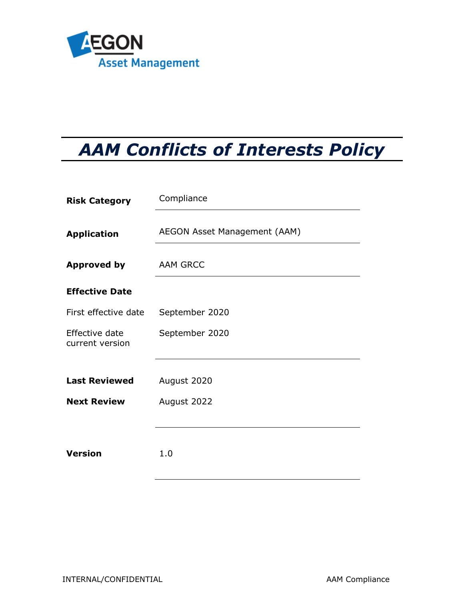

# *AAM Conflicts of Interests Policy*

| <b>Risk Category</b>              | Compliance                   |  |
|-----------------------------------|------------------------------|--|
| <b>Application</b>                | AEGON Asset Management (AAM) |  |
| <b>Approved by</b>                | <b>AAM GRCC</b>              |  |
| <b>Effective Date</b>             |                              |  |
| First effective date              | September 2020               |  |
| Effective date<br>current version | September 2020               |  |
| <b>Last Reviewed</b>              | August 2020                  |  |
| <b>Next Review</b>                | August 2022                  |  |
| <b>Version</b>                    | 1.0                          |  |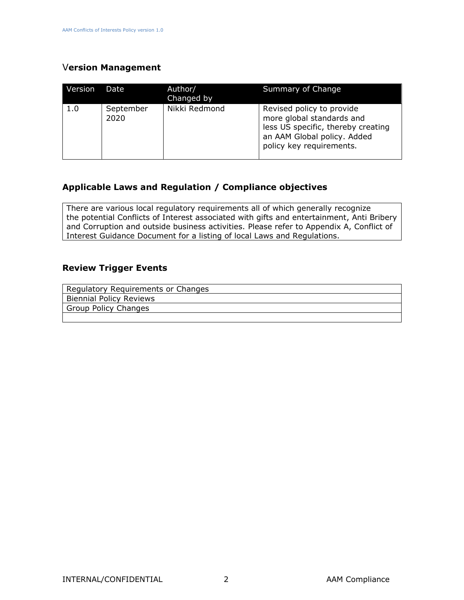### V**ersion Management**

| Version | Date              | Author/<br>Changed by | Summary of Change                                                                                                                                       |
|---------|-------------------|-----------------------|---------------------------------------------------------------------------------------------------------------------------------------------------------|
| 1.0     | September<br>2020 | Nikki Redmond         | Revised policy to provide<br>more global standards and<br>less US specific, thereby creating<br>an AAM Global policy. Added<br>policy key requirements. |

### **Applicable Laws and Regulation / Compliance objectives**

There are various local regulatory requirements all of which generally recognize the potential Conflicts of Interest associated with gifts and entertainment, Anti Bribery and Corruption and outside business activities. Please refer to Appendix A, Conflict of Interest Guidance Document for a listing of local Laws and Regulations.

#### **Review Trigger Events**

| Regulatory Requirements or Changes |
|------------------------------------|
| <b>Biennial Policy Reviews</b>     |
| <b>Group Policy Changes</b>        |
|                                    |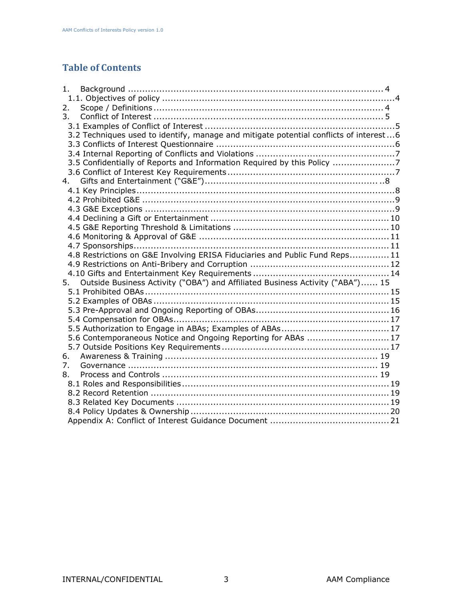## **Table of Contents**

| 1.                                                                                    |
|---------------------------------------------------------------------------------------|
|                                                                                       |
| 2.                                                                                    |
| $\overline{3}$ .                                                                      |
|                                                                                       |
| 3.2 Techniques used to identify, manage and mitigate potential conflicts of interest6 |
|                                                                                       |
|                                                                                       |
| 3.5 Confidentially of Reports and Information Required by this Policy 7               |
|                                                                                       |
| 4.                                                                                    |
|                                                                                       |
|                                                                                       |
|                                                                                       |
|                                                                                       |
|                                                                                       |
|                                                                                       |
|                                                                                       |
| 4.8 Restrictions on G&E Involving ERISA Fiduciaries and Public Fund Reps11            |
|                                                                                       |
|                                                                                       |
| Outside Business Activity ("OBA") and Affiliated Business Activity ("ABA") 15<br>5.   |
|                                                                                       |
|                                                                                       |
|                                                                                       |
|                                                                                       |
|                                                                                       |
| 5.6 Contemporaneous Notice and Ongoing Reporting for ABAs  17                         |
|                                                                                       |
| 6.                                                                                    |
| 7 <sub>1</sub>                                                                        |
| 8.                                                                                    |
|                                                                                       |
|                                                                                       |
|                                                                                       |
|                                                                                       |
|                                                                                       |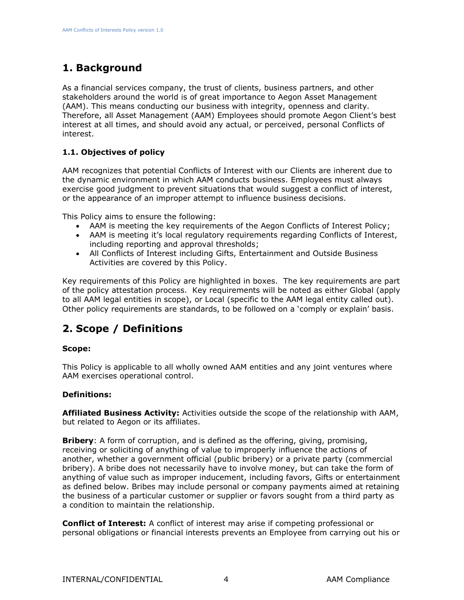# <span id="page-3-0"></span>**1. Background**

As a financial services company, the trust of clients, business partners, and other stakeholders around the world is of great importance to Aegon Asset Management (AAM). This means conducting our business with integrity, openness and clarity. Therefore, all Asset Management (AAM) Employees should promote Aegon Client's best interest at all times, and should avoid any actual, or perceived, personal Conflicts of interest.

#### <span id="page-3-1"></span>**1.1. Objectives of policy**

AAM recognizes that potential Conflicts of Interest with our Clients are inherent due to the dynamic environment in which AAM conducts business. Employees must always exercise good judgment to prevent situations that would suggest a conflict of interest, or the appearance of an improper attempt to influence business decisions.

This Policy aims to ensure the following:

- AAM is meeting the key requirements of the Aegon Conflicts of Interest Policy;
- AAM is meeting it's local regulatory requirements regarding Conflicts of Interest, including reporting and approval thresholds;
- All Conflicts of Interest including Gifts, Entertainment and Outside Business Activities are covered by this Policy.

Key requirements of this Policy are highlighted in boxes. The key requirements are part of the policy attestation process. Key requirements will be noted as either Global (apply to all AAM legal entities in scope), or Local (specific to the AAM legal entity called out). Other policy requirements are standards, to be followed on a 'comply or explain' basis.

# <span id="page-3-2"></span>**2. Scope / Definitions**

#### **Scope:**

This Policy is applicable to all wholly owned AAM entities and any joint ventures where AAM exercises operational control.

#### **Definitions:**

**Affiliated Business Activity:** Activities outside the scope of the relationship with AAM, but related to Aegon or its affiliates.

**Bribery**: A form of corruption, and is defined as the offering, giving, promising, receiving or soliciting of anything of value to improperly influence the actions of another, whether a government official (public bribery) or a private party (commercial bribery). A bribe does not necessarily have to involve money, but can take the form of anything of value such as improper inducement, including favors, Gifts or entertainment as defined below. Bribes may include personal or company payments aimed at retaining the business of a particular customer or supplier or favors sought from a third party as a condition to maintain the relationship.

**Conflict of Interest:** A conflict of interest may arise if competing professional or personal obligations or financial interests prevents an Employee from carrying out his or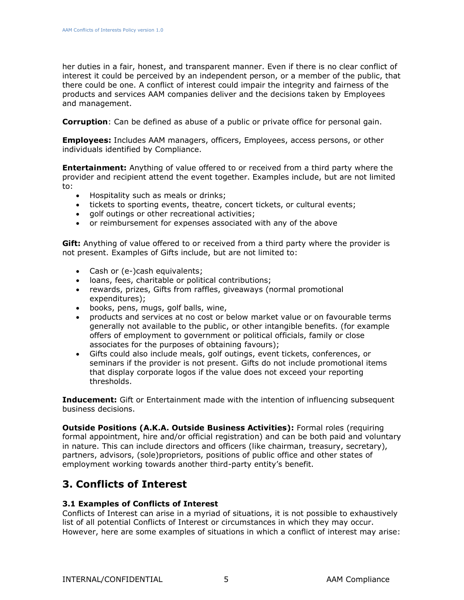her duties in a fair, honest, and transparent manner. Even if there is no clear conflict of interest it could be perceived by an independent person, or a member of the public, that there could be one. A conflict of interest could impair the integrity and fairness of the products and services AAM companies deliver and the decisions taken by Employees and management.

**Corruption**: Can be defined as abuse of a public or private office for personal gain.

**Employees:** Includes AAM managers, officers, Employees, access persons, or other individuals identified by Compliance.

**Entertainment:** Anything of value offered to or received from a third party where the provider and recipient attend the event together. Examples include, but are not limited to:

- Hospitality such as meals or drinks;
- tickets to sporting events, theatre, concert tickets, or cultural events;
- golf outings or other recreational activities:
- or reimbursement for expenses associated with any of the above

**Gift:** Anything of value offered to or received from a third party where the provider is not present. Examples of Gifts include, but are not limited to:

- Cash or (e-)cash equivalents;
- loans, fees, charitable or political contributions;
- rewards, prizes, Gifts from raffles, giveaways (normal promotional expenditures);
- books, pens, mugs, golf balls, wine,
- products and services at no cost or below market value or on favourable terms generally not available to the public, or other intangible benefits. (for example offers of employment to government or political officials, family or close associates for the purposes of obtaining favours);
- Gifts could also include meals, golf outings, event tickets, conferences, or seminars if the provider is not present. Gifts do not include promotional items that display corporate logos if the value does not exceed your reporting thresholds.

**Inducement:** Gift or Entertainment made with the intention of influencing subsequent business decisions.

**Outside Positions (A.K.A. Outside Business Activities):** Formal roles (requiring formal appointment, hire and/or official registration) and can be both paid and voluntary in nature. This can include directors and officers (like chairman, treasury, secretary), partners, advisors, (sole)proprietors, positions of public office and other states of employment working towards another third-party entity's benefit.

# <span id="page-4-0"></span>**3. Conflicts of Interest**

#### <span id="page-4-1"></span>**3.1 Examples of Conflicts of Interest**

Conflicts of Interest can arise in a myriad of situations, it is not possible to exhaustively list of all potential Conflicts of Interest or circumstances in which they may occur. However, here are some examples of situations in which a conflict of interest may arise: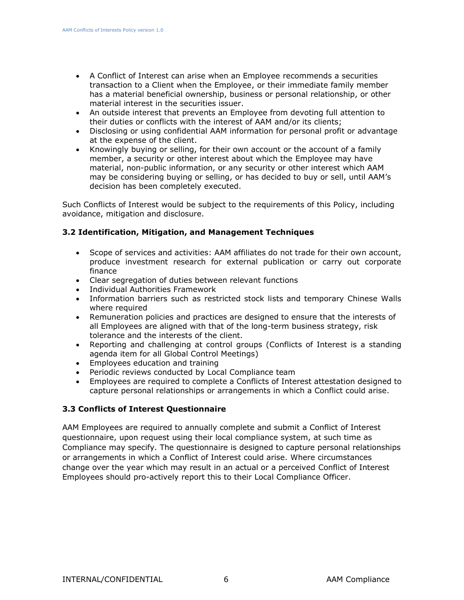- A Conflict of Interest can arise when an Employee recommends a securities transaction to a Client when the Employee, or their immediate family member has a material beneficial ownership, business or personal relationship, or other material interest in the securities issuer.
- An outside interest that prevents an Employee from devoting full attention to their duties or conflicts with the interest of AAM and/or its clients;
- Disclosing or using confidential AAM information for personal profit or advantage at the expense of the client.
- Knowingly buying or selling, for their own account or the account of a family member, a security or other interest about which the Employee may have material, non-public information, or any security or other interest which AAM may be considering buying or selling, or has decided to buy or sell, until AAM's decision has been completely executed.

Such Conflicts of Interest would be subject to the requirements of this Policy, including avoidance, mitigation and disclosure.

#### <span id="page-5-0"></span>**3.2 Identification, Mitigation, and Management Techniques**

- Scope of services and activities: AAM affiliates do not trade for their own account, produce investment research for external publication or carry out corporate finance
- Clear segregation of duties between relevant functions
- Individual Authorities Framework
- Information barriers such as restricted stock lists and temporary Chinese Walls where required
- Remuneration policies and practices are designed to ensure that the interests of all Employees are aligned with that of the long-term business strategy, risk tolerance and the interests of the client.
- Reporting and challenging at control groups (Conflicts of Interest is a standing agenda item for all Global Control Meetings)
- Employees education and training
- Periodic reviews conducted by Local Compliance team
- Employees are required to complete a Conflicts of Interest attestation designed to capture personal relationships or arrangements in which a Conflict could arise.

#### <span id="page-5-1"></span>**3.3 Conflicts of Interest Questionnaire**

AAM Employees are required to annually complete and submit a Conflict of Interest questionnaire, upon request using their local compliance system, at such time as Compliance may specify. The questionnaire is designed to capture personal relationships or arrangements in which a Conflict of Interest could arise. Where circumstances change over the year which may result in an actual or a perceived Conflict of Interest Employees should pro-actively report this to their Local Compliance Officer.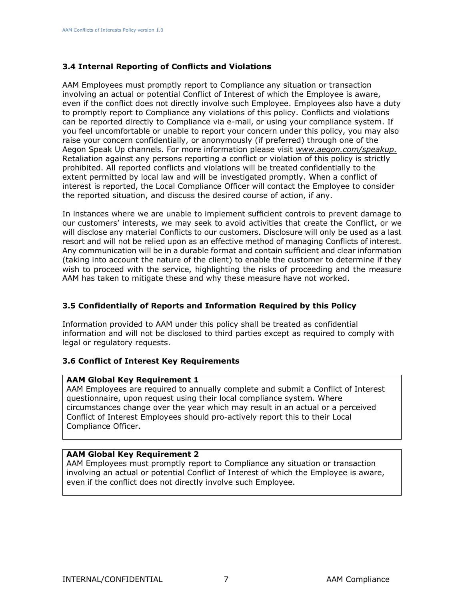#### <span id="page-6-0"></span>**3.4 Internal Reporting of Conflicts and Violations**

AAM Employees must promptly report to Compliance any situation or transaction involving an actual or potential Conflict of Interest of which the Employee is aware, even if the conflict does not directly involve such Employee. Employees also have a duty to promptly report to Compliance any violations of this policy. Conflicts and violations can be reported directly to Compliance via e-mail, or using your compliance system. If you feel uncomfortable or unable to report your concern under this policy, you may also raise your concern confidentially, or anonymously (if preferred) through one of the Aegon Speak Up channels. For more information please visit *[www.aegon.com/speakup.](http://www.aegon.com/speakup)* Retaliation against any persons reporting a conflict or violation of this policy is strictly prohibited. All reported conflicts and violations will be treated confidentially to the extent permitted by local law and will be investigated promptly. When a conflict of interest is reported, the Local Compliance Officer will contact the Employee to consider the reported situation, and discuss the desired course of action, if any.

In instances where we are unable to implement sufficient controls to prevent damage to our customers' interests, we may seek to avoid activities that create the Conflict, or we will disclose any material Conflicts to our customers. Disclosure will only be used as a last resort and will not be relied upon as an effective method of managing Conflicts of interest. Any communication will be in a durable format and contain sufficient and clear information (taking into account the nature of the client) to enable the customer to determine if they wish to proceed with the service, highlighting the risks of proceeding and the measure AAM has taken to mitigate these and why these measure have not worked.

#### <span id="page-6-1"></span>**3.5 Confidentially of Reports and Information Required by this Policy**

Information provided to AAM under this policy shall be treated as confidential information and will not be disclosed to third parties except as required to comply with legal or regulatory requests.

#### <span id="page-6-2"></span>**3.6 Conflict of Interest Key Requirements**

#### **AAM Global Key Requirement 1**

AAM Employees are required to annually complete and submit a Conflict of Interest questionnaire, upon request using their local compliance system. Where circumstances change over the year which may result in an actual or a perceived Conflict of Interest Employees should pro-actively report this to their Local Compliance Officer.

#### **AAM Global Key Requirement 2**

AAM Employees must promptly report to Compliance any situation or transaction involving an actual or potential Conflict of Interest of which the Employee is aware, even if the conflict does not directly involve such Employee.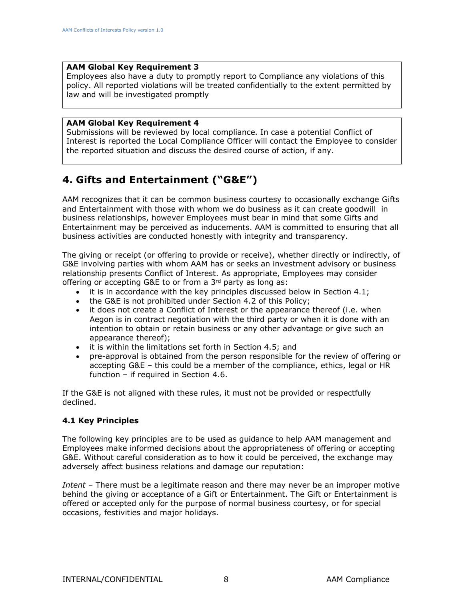#### **AAM Global Key Requirement 3**

Employees also have a duty to promptly report to Compliance any violations of this policy. All reported violations will be treated confidentially to the extent permitted by law and will be investigated promptly

#### **AAM Global Key Requirement 4**

Submissions will be reviewed by local compliance. In case a potential Conflict of Interest is reported the Local Compliance Officer will contact the Employee to consider the reported situation and discuss the desired course of action, if any.

### <span id="page-7-0"></span>**4. Gifts and Entertainment ("G&E")**

AAM recognizes that it can be common business courtesy to occasionally exchange Gifts and Entertainment with those with whom we do business as it can create goodwill in business relationships, however Employees must bear in mind that some Gifts and Entertainment may be perceived as inducements. AAM is committed to ensuring that all business activities are conducted honestly with integrity and transparency.

The giving or receipt (or offering to provide or receive), whether directly or indirectly, of G&E involving parties with whom AAM has or seeks an investment advisory or business relationship presents Conflict of Interest. As appropriate, Employees may consider offering or accepting G&E to or from a 3<sup>rd</sup> party as long as:

- it is in accordance with the key principles discussed below in Section 4.1;
- the G&E is not prohibited under Section 4.2 of this Policy;
- it does not create a Conflict of Interest or the appearance thereof (i.e. when Aegon is in contract negotiation with the third party or when it is done with an intention to obtain or retain business or any other advantage or give such an appearance thereof);
- it is within the limitations set forth in Section 4.5; and
- pre-approval is obtained from the person responsible for the review of offering or accepting G&E – this could be a member of the compliance, ethics, legal or HR function – if required in Section 4.6.

If the G&E is not aligned with these rules, it must not be provided or respectfully declined.

#### <span id="page-7-1"></span>**4.1 Key Principles**

The following key principles are to be used as guidance to help AAM management and Employees make informed decisions about the appropriateness of offering or accepting G&E. Without careful consideration as to how it could be perceived, the exchange may adversely affect business relations and damage our reputation:

*Intent* – There must be a legitimate reason and there may never be an improper motive behind the giving or acceptance of a Gift or Entertainment. The Gift or Entertainment is offered or accepted only for the purpose of normal business courtesy, or for special occasions, festivities and major holidays.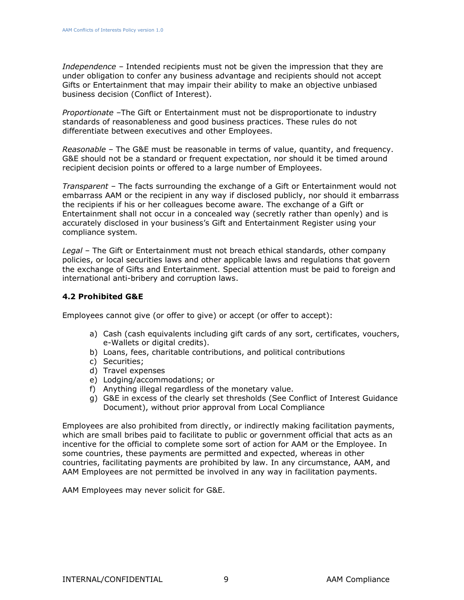*Independence* – Intended recipients must not be given the impression that they are under obligation to confer any business advantage and recipients should not accept Gifts or Entertainment that may impair their ability to make an objective unbiased business decision (Conflict of Interest).

*Proportionate* –The Gift or Entertainment must not be disproportionate to industry standards of reasonableness and good business practices. These rules do not differentiate between executives and other Employees.

*Reasonable* – The G&E must be reasonable in terms of value, quantity, and frequency. G&E should not be a standard or frequent expectation, nor should it be timed around recipient decision points or offered to a large number of Employees.

*Transparent* – The facts surrounding the exchange of a Gift or Entertainment would not embarrass AAM or the recipient in any way if disclosed publicly, nor should it embarrass the recipients if his or her colleagues become aware. The exchange of a Gift or Entertainment shall not occur in a concealed way (secretly rather than openly) and is accurately disclosed in your business's Gift and Entertainment Register using your compliance system.

*Legal* – The Gift or Entertainment must not breach ethical standards, other company policies, or local securities laws and other applicable laws and regulations that govern the exchange of Gifts and Entertainment. Special attention must be paid to foreign and international anti-bribery and corruption laws.

#### <span id="page-8-0"></span>**4.2 Prohibited G&E**

Employees cannot give (or offer to give) or accept (or offer to accept):

- a) Cash (cash equivalents including gift cards of any sort, certificates, vouchers, e-Wallets or digital credits).
- b) Loans, fees, charitable contributions, and political contributions
- c) Securities;
- d) Travel expenses
- e) Lodging/accommodations; or
- f) Anything illegal regardless of the monetary value.
- g) G&E in excess of the clearly set thresholds (See Conflict of Interest Guidance Document), without prior approval from Local Compliance

Employees are also prohibited from directly, or indirectly making facilitation payments, which are small bribes paid to facilitate to public or government official that acts as an incentive for the official to complete some sort of action for AAM or the Employee. In some countries, these payments are permitted and expected, whereas in other countries, facilitating payments are prohibited by law. In any circumstance, AAM, and AAM Employees are not permitted be involved in any way in facilitation payments.

AAM Employees may never solicit for G&E.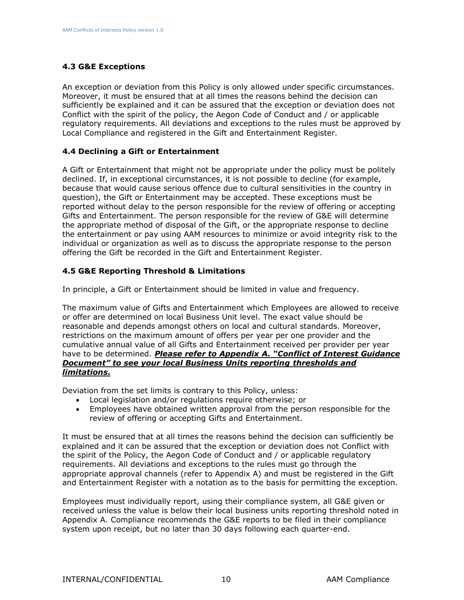#### **4.3 G&E Exceptions**

An exception or deviation from this Policy is only allowed under specific circumstances. Moreover, it must be ensured that at all times the reasons behind the decision can sufficiently be explained and it can be assured that the exception or deviation does not Conflict with the spirit of the policy, the Aegon Code of Conduct and / or applicable regulatory requirements. All deviations and exceptions to the rules must be approved by Local Compliance and registered in the Gift and Entertainment Register.

#### <span id="page-9-0"></span>**4.4 Declining a Gift or Entertainment**

A Gift or Entertainment that might not be appropriate under the policy must be politely declined. If, in exceptional circumstances, it is not possible to decline (for example, because that would cause serious offence due to cultural sensitivities in the country in question), the Gift or Entertainment may be accepted. These exceptions must be reported without delay to the person responsible for the review of offering or accepting Gifts and Entertainment. The person responsible for the review of G&E will determine the appropriate method of disposal of the Gift, or the appropriate response to decline the entertainment or pay using AAM resources to minimize or avoid integrity risk to the individual or organization as well as to discuss the appropriate response to the person offering the Gift be recorded in the Gift and Entertainment Register.

#### <span id="page-9-1"></span>**4.5 G&E Reporting Threshold & Limitations**

In principle, a Gift or Entertainment should be limited in value and frequency.

The maximum value of Gifts and Entertainment which Employees are allowed to receive or offer are determined on local Business Unit level. The exact value should be reasonable and depends amongst others on local and cultural standards. Moreover, restrictions on the maximum amount of offers per year per one provider and the cumulative annual value of all Gifts and Entertainment received per provider per year have to be determined. *Please refer to Appendix A. "Conflict of Interest Guidance Document" to see your local Business Units reporting thresholds and limitations.*

Deviation from the set limits is contrary to this Policy, unless:

- Local legislation and/or regulations require otherwise; or
- Employees have obtained written approval from the person responsible for the review of offering or accepting Gifts and Entertainment.

It must be ensured that at all times the reasons behind the decision can sufficiently be explained and it can be assured that the exception or deviation does not Conflict with the spirit of the Policy, the Aegon Code of Conduct and / or applicable regulatory requirements. All deviations and exceptions to the rules must go through the appropriate approval channels (refer to Appendix A) and must be registered in the Gift and Entertainment Register with a notation as to the basis for permitting the exception.

Employees must individually report, using their compliance system, all G&E given or received unless the value is below their local business units reporting threshold noted in Appendix A. Compliance recommends the G&E reports to be filed in their compliance system upon receipt, but no later than 30 days following each quarter-end.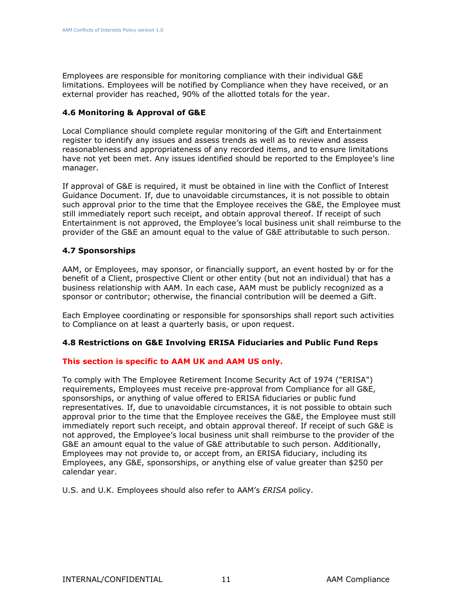Employees are responsible for monitoring compliance with their individual G&E limitations. Employees will be notified by Compliance when they have received, or an external provider has reached, 90% of the allotted totals for the year.

#### <span id="page-10-0"></span>**4.6 Monitoring & Approval of G&E**

Local Compliance should complete regular monitoring of the Gift and Entertainment register to identify any issues and assess trends as well as to review and assess reasonableness and appropriateness of any recorded items, and to ensure limitations have not yet been met. Any issues identified should be reported to the Employee's line manager.

If approval of G&E is required, it must be obtained in line with the Conflict of Interest Guidance Document. If, due to unavoidable circumstances, it is not possible to obtain such approval prior to the time that the Employee receives the G&E, the Employee must still immediately report such receipt, and obtain approval thereof. If receipt of such Entertainment is not approved, the Employee's local business unit shall reimburse to the provider of the G&E an amount equal to the value of G&E attributable to such person.

#### <span id="page-10-1"></span>**4.7 Sponsorships**

AAM, or Employees, may sponsor, or financially support, an event hosted by or for the benefit of a Client, prospective Client or other entity (but not an individual) that has a business relationship with AAM. In each case, AAM must be publicly recognized as a sponsor or contributor; otherwise, the financial contribution will be deemed a Gift.

Each [Employee](http://aam/collab/AUIM/Compliance/Shared%20Documents/AUIM%20Policy%20Definitions/AUIM%20Policy%20Terminology%20Glossary.pdf) coordinating or responsible for sponsorships shall report such activities to Compliance on at least a quarterly basis, or upon request.

#### <span id="page-10-2"></span>**4.8 Restrictions on G&E Involving ERISA Fiduciaries and Public Fund Reps**

#### **This section is specific to AAM UK and AAM US only.**

To comply with The Employee Retirement Income Security Act of 1974 ("ERISA") requirements, Employees must receive pre-approval from Compliance for all G&E, sponsorships, or anything of value offered to ERISA fiduciaries or public fund representatives. If, due to unavoidable circumstances, it is not possible to obtain such approval prior to the time that the Employee receives the G&E, the Employee must still immediately report such receipt, and obtain approval thereof. If receipt of such G&E is not approved, the Employee's local business unit shall reimburse to the provider of the G&E an amount equal to the value of G&E attributable to such person. Additionally, Employees may not provide to, or accept from, an ERISA fiduciary, including its Employees, any G&E, sponsorships, or anything else of value greater than \$250 per calendar year.

U.S. and U.K. Employees should also refer to AAM's *ERISA* policy.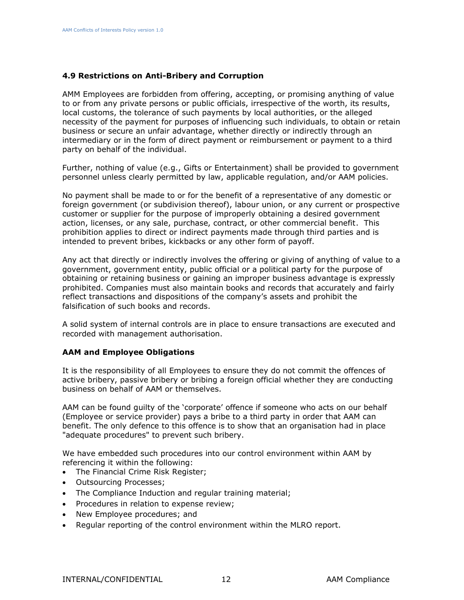#### <span id="page-11-0"></span>**4.9 Restrictions on Anti-Bribery and Corruption**

AMM Employees are forbidden from offering, accepting, or promising anything of value to or from any private persons or public officials, irrespective of the worth, its results, local customs, the tolerance of such payments by local authorities, or the alleged necessity of the payment for purposes of influencing such individuals, to obtain or retain business or secure an unfair advantage, whether directly or indirectly through an intermediary or in the form of direct payment or reimbursement or payment to a third party on behalf of the individual.

Further, nothing of value (e.g., Gifts or Entertainment) shall be provided to government personnel unless clearly permitted by law, applicable regulation, and/or AAM policies.

No payment shall be made to or for the benefit of a representative of any domestic or foreign government (or subdivision thereof), labour union, or any current or prospective customer or supplier for the purpose of improperly obtaining a desired government action, licenses, or any sale, purchase, contract, or other commercial benefit. This prohibition applies to direct or indirect payments made through third parties and is intended to prevent bribes, kickbacks or any other form of payoff.

Any act that directly or indirectly involves the offering or giving of anything of value to a government, government entity, public official or a political party for the purpose of obtaining or retaining business or gaining an improper business advantage is expressly prohibited. Companies must also maintain books and records that accurately and fairly reflect transactions and dispositions of the company's assets and prohibit the falsification of such books and records.

A solid system of internal controls are in place to ensure transactions are executed and recorded with management authorisation.

#### **AAM and Employee Obligations**

It is the responsibility of all Employees to ensure they do not commit the offences of active bribery, passive bribery or bribing a foreign official whether they are conducting business on behalf of AAM or themselves.

AAM can be found guilty of the 'corporate' offence if someone who acts on our behalf (Employee or service provider) pays a bribe to a third party in order that AAM can benefit. The only defence to this offence is to show that an organisation had in place "adequate procedures" to prevent such bribery.

We have embedded such procedures into our control environment within AAM by referencing it within the following:

- The Financial Crime Risk Register;
- Outsourcing Processes;
- The Compliance Induction and regular training material;
- Procedures in relation to expense review;
- New Employee procedures; and
- Regular reporting of the control environment within the MLRO report.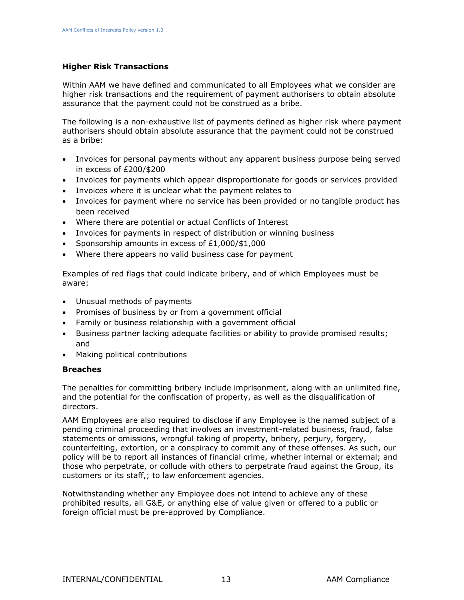#### **Higher Risk Transactions**

Within AAM we have defined and communicated to all Employees what we consider are higher risk transactions and the requirement of payment authorisers to obtain absolute assurance that the payment could not be construed as a bribe.

The following is a non-exhaustive list of payments defined as higher risk where payment authorisers should obtain absolute assurance that the payment could not be construed as a bribe:

- Invoices for personal payments without any apparent business purpose being served in excess of £200/\$200
- Invoices for payments which appear disproportionate for goods or services provided
- Invoices where it is unclear what the payment relates to
- Invoices for payment where no service has been provided or no tangible product has been received
- Where there are potential or actual Conflicts of Interest
- Invoices for payments in respect of distribution or winning business
- Sponsorship amounts in excess of £1,000/\$1,000
- Where there appears no valid business case for payment

Examples of red flags that could indicate bribery, and of which Employees must be aware:

- Unusual methods of payments
- Promises of business by or from a government official
- Family or business relationship with a government official
- Business partner lacking adequate facilities or ability to provide promised results; and
- Making political contributions

#### **Breaches**

The penalties for committing bribery include imprisonment, along with an unlimited fine, and the potential for the confiscation of property, as well as the disqualification of directors.

AAM Employees are also required to disclose if any Employee is the named subject of a pending criminal proceeding that involves an investment-related business, fraud, false statements or omissions, wrongful taking of property, bribery, perjury, forgery, counterfeiting, extortion, or a conspiracy to commit any of these offenses. As such, our policy will be to report all instances of financial crime, whether internal or external; and those who perpetrate, or collude with others to perpetrate fraud against the Group, its customers or its staff,; to law enforcement agencies.

Notwithstanding whether any Employee does not intend to achieve any of these prohibited results, all G&E, or anything else of value given or offered to a public or foreign official must be pre-approved by Compliance.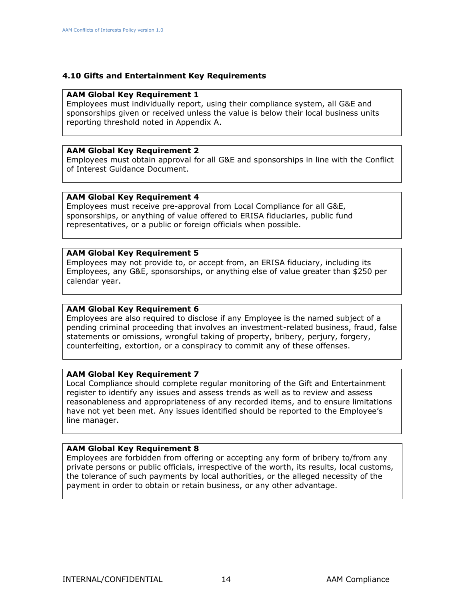#### **4.10 Gifts and Entertainment Key Requirements**

#### **AAM Global Key Requirement 1**

Employees must individually report, using their compliance system, all G&E and sponsorships given or received unless the value is below their local business units reporting threshold noted in Appendix A.

#### **AAM Global Key Requirement 2**

Employees must obtain approval for all G&E and sponsorships in line with the Conflict of Interest Guidance Document.

#### **AAM Global Key Requirement 4**

Employees must receive pre-approval from Local Compliance for all G&E, sponsorships, or anything of value offered to ERISA fiduciaries, public fund representatives, or a public or foreign officials when possible.

#### **AAM Global Key Requirement 5**

Employees may not provide to, or accept from, an ERISA fiduciary, including its Employees, any G&E, sponsorships, or anything else of value greater than \$250 per calendar year.

#### **AAM Global Key Requirement 6**

Employees are also required to disclose if any Employee is the named subject of a pending criminal proceeding that involves an investment-related business, fraud, false statements or omissions, wrongful taking of property, bribery, perjury, forgery, counterfeiting, extortion, or a conspiracy to commit any of these offenses.

#### **AAM Global Key Requirement 7**

Local Compliance should complete regular monitoring of the Gift and Entertainment register to identify any issues and assess trends as well as to review and assess reasonableness and appropriateness of any recorded items, and to ensure limitations have not yet been met. Any issues identified should be reported to the Employee's line manager.

#### **AAM Global Key Requirement 8**

Employees are forbidden from offering or accepting any form of bribery to/from any private persons or public officials, irrespective of the worth, its results, local customs, the tolerance of such payments by local authorities, or the alleged necessity of the payment in order to obtain or retain business, or any other advantage.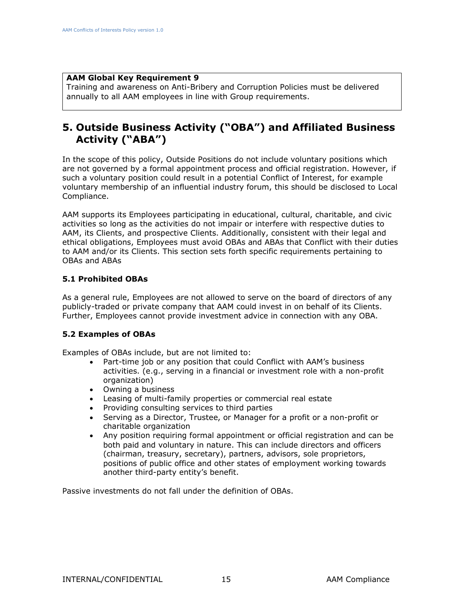#### **AAM Global Key Requirement 9**

Training and awareness on Anti-Bribery and Corruption Policies must be delivered annually to all AAM employees in line with Group requirements.

### <span id="page-14-0"></span>**5. Outside Business Activity ("OBA") and Affiliated Business Activity ("ABA")**

In the scope of this policy, Outside Positions do not include voluntary positions which are not governed by a formal appointment process and official registration. However, if such a voluntary position could result in a potential Conflict of Interest, for example voluntary membership of an influential industry forum, this should be disclosed to Local Compliance.

AAM supports its Employees participating in educational, cultural, charitable, and civic activities so long as the activities do not impair or interfere with respective duties to AAM, its Clients, and prospective Clients. Additionally, consistent with their legal and ethical obligations, Employees must avoid OBAs and ABAs that Conflict with their duties to AAM and/or its Clients. This section sets forth specific requirements pertaining to OBAs and ABAs

#### <span id="page-14-1"></span>**5.1 Prohibited OBAs**

As a general rule, Employees are not allowed to serve on the board of directors of any publicly-traded or private company that AAM could invest in on behalf of its Clients. Further, Employees cannot provide investment advice in connection with any OBA.

#### <span id="page-14-2"></span>**5.2 Examples of OBAs**

Examples of OBAs include, but are not limited to:

- Part-time job or any position that could Conflict with AAM's business activities. (e.g., serving in a financial or investment role with a non-profit organization)
- Owning a business
- Leasing of multi-family properties or commercial real estate
- Providing consulting services to third parties
- Serving as a Director, Trustee, or Manager for a profit or a non-profit or charitable organization
- Any position requiring formal appointment or official registration and can be both paid and voluntary in nature. This can include directors and officers (chairman, treasury, secretary), partners, advisors, sole proprietors, positions of public office and other states of employment working towards another third-party entity's benefit.

Passive investments do not fall under the definition of OBAs.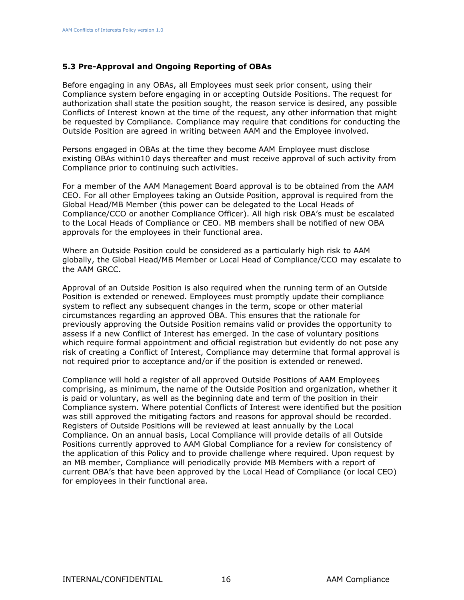#### <span id="page-15-0"></span>**5.3 Pre-Approval and Ongoing Reporting of OBAs**

Before engaging in any OBAs, all Employees must seek prior consent, using their Compliance system before engaging in or accepting Outside Positions. The request for authorization shall state the position sought, the reason service is desired, any possible Conflicts of Interest known at the time of the request, any other information that might be requested by Compliance. Compliance may require that conditions for conducting the Outside Position are agreed in writing between AAM and the Employee involved.

Persons engaged in OBAs at the time they become AAM Employee must disclose existing OBAs within10 days thereafter and must receive approval of such activity from Compliance prior to continuing such activities.

For a member of the AAM Management Board approval is to be obtained from the AAM CEO. For all other Employees taking an Outside Position, approval is required from the Global Head/MB Member (this power can be delegated to the Local Heads of Compliance/CCO or another Compliance Officer). All high risk OBA's must be escalated to the Local Heads of Compliance or CEO. MB members shall be notified of new OBA approvals for the employees in their functional area.

Where an Outside Position could be considered as a particularly high risk to AAM globally, the Global Head/MB Member or Local Head of Compliance/CCO may escalate to the AAM GRCC.

Approval of an Outside Position is also required when the running term of an Outside Position is extended or renewed. Employees must promptly update their compliance system to reflect any subsequent changes in the term, scope or other material circumstances regarding an approved OBA. This ensures that the rationale for previously approving the Outside Position remains valid or provides the opportunity to assess if a new Conflict of Interest has emerged. In the case of voluntary positions which require formal appointment and official registration but evidently do not pose any risk of creating a Conflict of Interest, Compliance may determine that formal approval is not required prior to acceptance and/or if the position is extended or renewed.

Compliance will hold a register of all approved Outside Positions of AAM Employees comprising, as minimum, the name of the Outside Position and organization, whether it is paid or voluntary, as well as the beginning date and term of the position in their Compliance system. Where potential Conflicts of Interest were identified but the position was still approved the mitigating factors and reasons for approval should be recorded. Registers of Outside Positions will be reviewed at least annually by the Local Compliance. On an annual basis, Local Compliance will provide details of all Outside Positions currently approved to AAM Global Compliance for a review for consistency of the application of this Policy and to provide challenge where required. Upon request by an MB member, Compliance will periodically provide MB Members with a report of current OBA's that have been approved by the Local Head of Compliance (or local CEO) for employees in their functional area.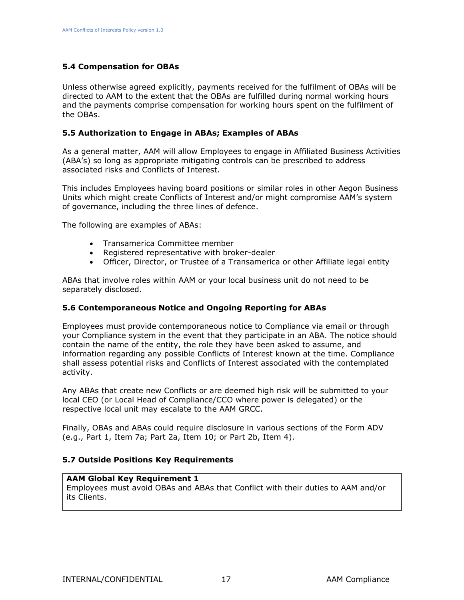#### <span id="page-16-0"></span>**5.4 Compensation for OBAs**

Unless otherwise agreed explicitly, payments received for the fulfilment of OBAs will be directed to AAM to the extent that the OBAs are fulfilled during normal working hours and the payments comprise compensation for working hours spent on the fulfilment of the OBAs.

#### <span id="page-16-1"></span>**5.5 Authorization to Engage in ABAs; Examples of ABAs**

As a general matter, AAM will allow Employees to engage in Affiliated Business Activities (ABA's) so long as appropriate mitigating controls can be prescribed to address associated risks and Conflicts of Interest.

This includes Employees having board positions or similar roles in other Aegon Business Units which might create Conflicts of Interest and/or might compromise AAM's system of governance, including the three lines of defence.

The following are examples of ABAs:

- Transamerica Committee member
- Registered representative with broker-dealer
- Officer, Director, or Trustee of a Transamerica or other Affiliate legal entity

ABAs that involve roles within AAM or your local business unit do not need to be separately disclosed.

#### <span id="page-16-2"></span>**5.6 Contemporaneous Notice and Ongoing Reporting for ABAs**

Employees must provide contemporaneous notice to Compliance via email or through your Compliance system in the event that they participate in an ABA. The notice should contain the name of the entity, the role they have been asked to assume, and information regarding any possible Conflicts of Interest known at the time. Compliance shall assess potential risks and Conflicts of Interest associated with the contemplated activity.

Any ABAs that create new Conflicts or are deemed high risk will be submitted to your local CEO (or Local Head of Compliance/CCO where power is delegated) or the respective local unit may escalate to the AAM GRCC.

Finally, OBAs and ABAs could require disclosure in various sections of the Form ADV (e.g., Part 1, Item 7a; Part 2a, Item 10; or Part 2b, Item 4).

#### <span id="page-16-3"></span>**5.7 Outside Positions Key Requirements**

#### **AAM Global Key Requirement 1**

Employees must avoid OBAs and ABAs that Conflict with their duties to AAM and/or its Clients.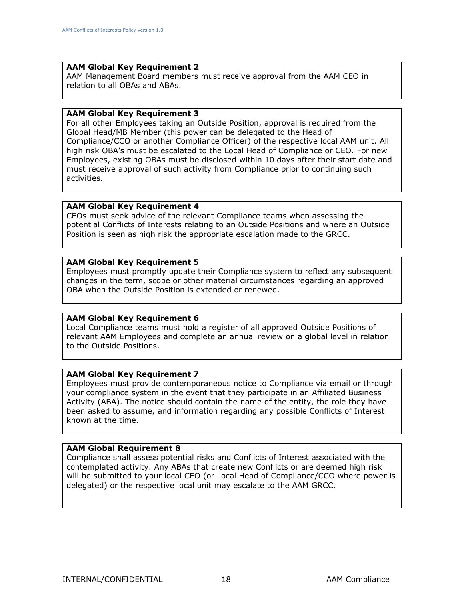#### **AAM Global Key Requirement 2**

AAM Management Board members must receive approval from the AAM CEO in relation to all OBAs and ABAs.

#### **AAM Global Key Requirement 3**

For all other Employees taking an Outside Position, approval is required from the Global Head/MB Member (this power can be delegated to the Head of Compliance/CCO or another Compliance Officer) of the respective local AAM unit. All high risk OBA's must be escalated to the Local Head of Compliance or CEO. For new Employees, existing OBAs must be disclosed within 10 days after their start date and must receive approval of such activity from Compliance prior to continuing such activities.

#### **AAM Global Key Requirement 4**

CEOs must seek advice of the relevant Compliance teams when assessing the potential Conflicts of Interests relating to an Outside Positions and where an Outside Position is seen as high risk the appropriate escalation made to the GRCC.

#### **AAM Global Key Requirement 5**

Employees must promptly update their Compliance system to reflect any subsequent changes in the term, scope or other material circumstances regarding an approved OBA when the Outside Position is extended or renewed.

#### **AAM Global Key Requirement 6**

Local Compliance teams must hold a register of all approved Outside Positions of relevant AAM Employees and complete an annual review on a global level in relation to the Outside Positions.

#### **AAM Global Key Requirement 7**

Employees must provide contemporaneous notice to Compliance via email or through your compliance system in the event that they participate in an Affiliated Business Activity (ABA). The notice should contain the name of the entity, the role they have been asked to assume, and information regarding any possible Conflicts of Interest known at the time.

#### **AAM Global Requirement 8**

Compliance shall assess potential risks and Conflicts of Interest associated with the contemplated activity. Any ABAs that create new Conflicts or are deemed high risk will be submitted to your local CEO (or Local Head of Compliance/CCO where power is delegated) or the respective local unit may escalate to the AAM GRCC.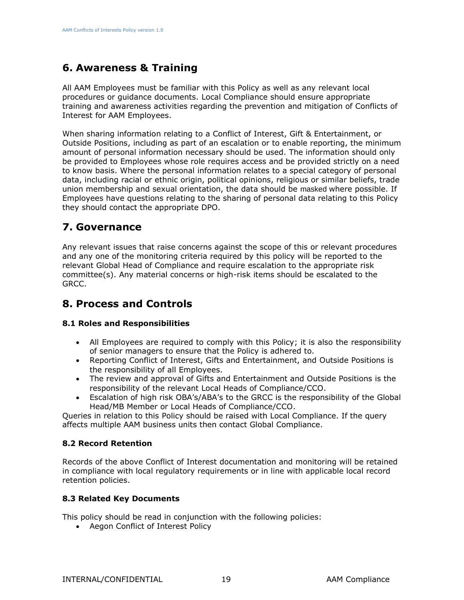# <span id="page-18-0"></span>**6. Awareness & Training**

All AAM Employees must be familiar with this Policy as well as any relevant local procedures or guidance documents. Local Compliance should ensure appropriate training and awareness activities regarding the prevention and mitigation of Conflicts of Interest for AAM Employees.

When sharing information relating to a Conflict of Interest, Gift & Entertainment, or Outside Positions, including as part of an escalation or to enable reporting, the minimum amount of personal information necessary should be used. The information should only be provided to Employees whose role requires access and be provided strictly on a need to know basis. Where the personal information relates to a special category of personal data, including racial or ethnic origin, political opinions, religious or similar beliefs, trade union membership and sexual orientation, the data should be masked where possible. If Employees have questions relating to the sharing of personal data relating to this Policy they should contact the appropriate DPO.

# <span id="page-18-1"></span>**7. Governance**

Any relevant issues that raise concerns against the scope of this or relevant procedures and any one of the monitoring criteria required by this policy will be reported to the relevant Global Head of Compliance and require escalation to the appropriate risk committee(s). Any material concerns or high-risk items should be escalated to the GRCC.

# <span id="page-18-2"></span>**8. Process and Controls**

#### <span id="page-18-3"></span>**8.1 Roles and Responsibilities**

- All Employees are required to comply with this Policy; it is also the responsibility of senior managers to ensure that the Policy is adhered to.
- Reporting Conflict of Interest, Gifts and Entertainment, and Outside Positions is the responsibility of all Employees.
- The review and approval of Gifts and Entertainment and Outside Positions is the responsibility of the relevant Local Heads of Compliance/CCO.
- Escalation of high risk OBA's/ABA's to the GRCC is the responsibility of the Global Head/MB Member or Local Heads of Compliance/CCO.

Queries in relation to this Policy should be raised with Local Compliance. If the query affects multiple AAM business units then contact Global Compliance.

#### <span id="page-18-4"></span>**8.2 Record Retention**

Records of the above Conflict of Interest documentation and monitoring will be retained in compliance with local regulatory requirements or in line with applicable local record retention policies.

#### <span id="page-18-5"></span>**8.3 Related Key Documents**

This policy should be read in conjunction with the following policies:

• Aegon Conflict of Interest Policy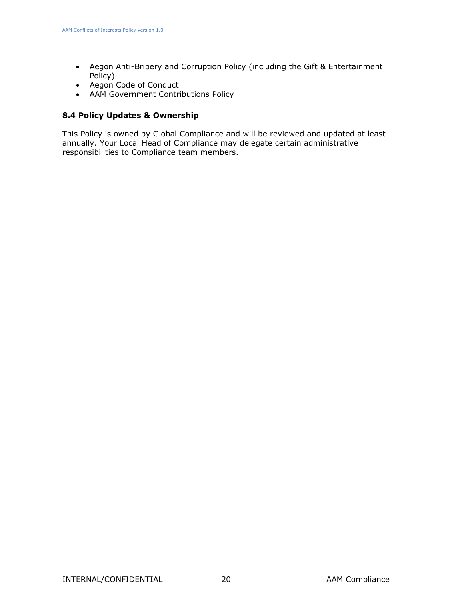- Aegon Anti-Bribery and Corruption Policy (including the Gift & Entertainment Policy)
- Aegon Code of Conduct
- <span id="page-19-1"></span>• AAM Government Contributions Policy

#### <span id="page-19-0"></span>**8.4 Policy Updates & Ownership**

This Policy is owned by Global Compliance and will be reviewed and updated at least annually. Your Local Head of Compliance may delegate certain administrative responsibilities to Compliance team members.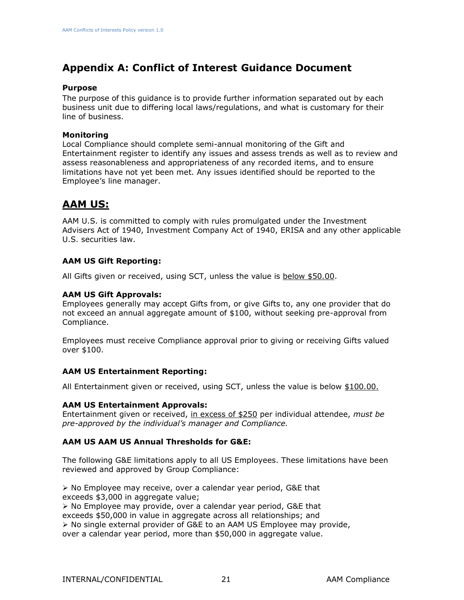# **Appendix A: Conflict of Interest Guidance Document**

#### **Purpose**

The purpose of this guidance is to provide further information separated out by each business unit due to differing local laws/regulations, and what is customary for their line of business.

#### **Monitoring**

Local Compliance should complete semi-annual monitoring of the Gift and Entertainment register to identify any issues and assess trends as well as to review and assess reasonableness and appropriateness of any recorded items, and to ensure limitations have not yet been met. Any issues identified should be reported to the Employee's line manager.

### **AAM US:**

AAM U.S. is committed to comply with rules promulgated under the Investment Advisers Act of 1940, Investment Company Act of 1940, ERISA and any other applicable U.S. securities law.

#### **AAM US Gift Reporting:**

All Gifts given or received, using SCT, unless the value is below \$50.00.

#### **AAM US Gift Approvals:**

Employees generally may accept Gifts from, or give Gifts to, any one provider that do not exceed an annual aggregate amount of \$100, without seeking pre-approval from Compliance.

Employees must receive Compliance approval prior to giving or receiving Gifts valued over \$100.

#### **AAM US Entertainment Reporting:**

All Entertainment given or received, using SCT, unless the value is below \$100.00.

#### **AAM US Entertainment Approvals:**

Entertainment given or received, in excess of \$250 per individual attendee, *must be pre-approved by the individual's manager and Compliance.* 

#### **AAM US AAM US Annual Thresholds for G&E:**

The following G&E limitations apply to all US Employees. These limitations have been reviewed and approved by Group Compliance:

➢ No Employee may receive, over a calendar year period, G&E that exceeds \$3,000 in aggregate value;

➢ No Employee may provide, over a calendar year period, G&E that exceeds \$50,000 in value in aggregate across all relationships; and ➢ No single external provider of G&E to an AAM US Employee may provide, over a calendar year period, more than \$50,000 in aggregate value.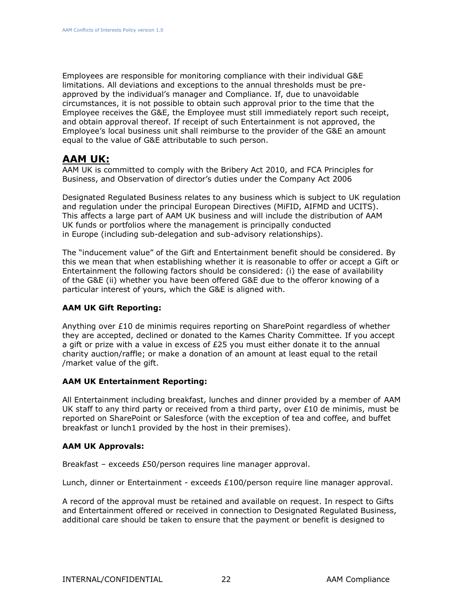Employees are responsible for monitoring compliance with their individual G&E limitations. All deviations and exceptions to the annual thresholds must be preapproved by the individual's manager and Compliance. If, due to unavoidable circumstances, it is not possible to obtain such approval prior to the time that the Employee receives the G&E, the Employee must still immediately report such receipt, and obtain approval thereof. If receipt of such Entertainment is not approved, the Employee's local business unit shall reimburse to the provider of the G&E an amount equal to the value of G&E attributable to such person.

### **AAM UK:**

AAM UK is committed to comply with the Bribery Act 2010, and FCA Principles for Business, and Observation of director's duties under the Company Act 2006

Designated Regulated Business relates to any business which is subject to UK regulation and regulation under the principal European Directives (MiFID, AIFMD and UCITS). This affects a large part of AAM UK business and will include the distribution of AAM UK funds or portfolios where the management is principally conducted in Europe (including sub-delegation and sub-advisory relationships).

The "inducement value" of the Gift and Entertainment benefit should be considered. By this we mean that when establishing whether it is reasonable to offer or accept a Gift or Entertainment the following factors should be considered: (i) the ease of availability of the G&E (ii) whether you have been offered G&E due to the offeror knowing of a particular interest of yours, which the G&E is aligned with.

#### **AAM UK Gift Reporting:**

Anything over  $£10$  de minimis requires reporting on SharePoint regardless of whether they are accepted, declined or donated to the Kames Charity Committee. If you accept a gift or prize with a value in excess of £25 you must either donate it to the annual charity auction/raffle; or make a donation of an amount at least equal to the retail /market value of the gift.

#### **AAM UK Entertainment Reporting:**

All Entertainment including breakfast, lunches and dinner provided by a member of AAM UK staff to any third party or received from a third party, over  $£10$  de minimis, must be reported on SharePoint or Salesforce (with the exception of tea and coffee, and buffet breakfast or lunch1 provided by the host in their premises).

#### **AAM UK Approvals:**

Breakfast – exceeds £50/person requires line manager approval.

Lunch, dinner or Entertainment - exceeds £100/person require line manager approval.

A record of the approval must be retained and available on request. In respect to Gifts and Entertainment offered or received in connection to Designated Regulated Business, additional care should be taken to ensure that the payment or benefit is designed to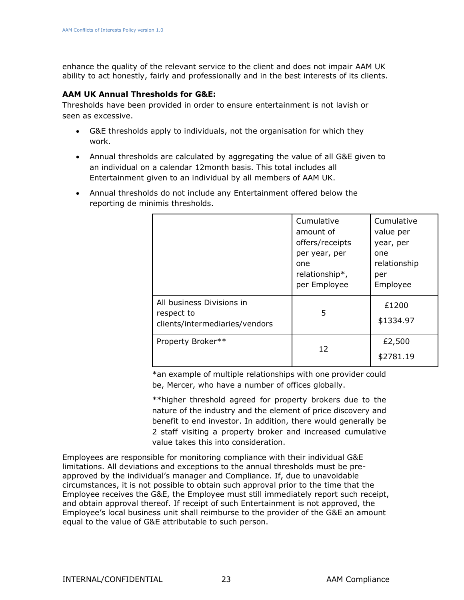enhance the quality of the relevant service to the client and does not impair AAM UK ability to act honestly, fairly and professionally and in the best interests of its clients.

#### **AAM UK Annual Thresholds for G&E:**

Thresholds have been provided in order to ensure entertainment is not lavish or seen as excessive.

- G&E thresholds apply to individuals, not the organisation for which they work.
- Annual thresholds are calculated by aggregating the value of all G&E given to an individual on a calendar 12month basis. This total includes all Entertainment given to an individual by all members of AAM UK.
- Annual thresholds do not include any Entertainment offered below the reporting de minimis thresholds.

|                                                                           | Cumulative<br>amount of<br>offers/receipts<br>per year, per<br>one<br>relationship*,<br>per Employee | Cumulative<br>value per<br>year, per<br>one<br>relationship<br>per<br>Employee |
|---------------------------------------------------------------------------|------------------------------------------------------------------------------------------------------|--------------------------------------------------------------------------------|
| All business Divisions in<br>respect to<br>clients/intermediaries/vendors | 5                                                                                                    | £1200<br>\$1334.97                                                             |
| Property Broker**                                                         | 12                                                                                                   | £2,500<br>\$2781.19                                                            |

\*an example of multiple relationships with one provider could be, Mercer, who have a number of offices globally.

\*\*higher threshold agreed for property brokers due to the nature of the industry and the element of price discovery and benefit to end investor. In addition, there would generally be 2 staff visiting a property broker and increased cumulative value takes this into consideration.

Employees are responsible for monitoring compliance with their individual G&E limitations. All deviations and exceptions to the annual thresholds must be preapproved by the individual's manager and Compliance. If, due to unavoidable circumstances, it is not possible to obtain such approval prior to the time that the Employee receives the G&E, the Employee must still immediately report such receipt, and obtain approval thereof. If receipt of such Entertainment is not approved, the Employee's local business unit shall reimburse to the provider of the G&E an amount equal to the value of G&E attributable to such person.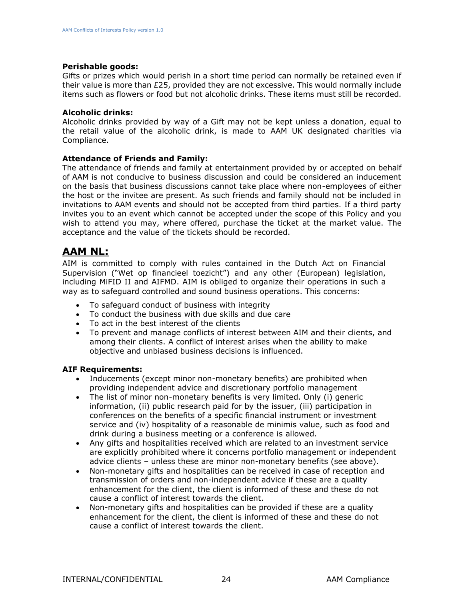#### **Perishable goods:**

Gifts or prizes which would perish in a short time period can normally be retained even if their value is more than £25, provided they are not excessive. This would normally include items such as flowers or food but not alcoholic drinks. These items must still be recorded.

#### **Alcoholic drinks:**

Alcoholic drinks provided by way of a Gift may not be kept unless a donation, equal to the retail value of the alcoholic drink, is made to AAM UK designated charities via Compliance.

#### **Attendance of Friends and Family:**

The attendance of friends and family at entertainment provided by or accepted on behalf of AAM is not conducive to business discussion and could be considered an inducement on the basis that business discussions cannot take place where non-employees of either the host or the invitee are present. As such friends and family should not be included in invitations to AAM events and should not be accepted from third parties. If a third party invites you to an event which cannot be accepted under the scope of this Policy and you wish to attend you may, where offered, purchase the ticket at the market value. The acceptance and the value of the tickets should be recorded.

### **AAM NL:**

AIM is committed to comply with rules contained in the Dutch Act on Financial Supervision ("Wet op financieel toezicht") and any other (European) legislation, including MiFID II and AIFMD. AIM is obliged to organize their operations in such a way as to safeguard controlled and sound business operations. This concerns:

- To safeguard conduct of business with integrity
- To conduct the business with due skills and due care
- To act in the best interest of the clients
- To prevent and manage conflicts of interest between AIM and their clients, and among their clients. A conflict of interest arises when the ability to make objective and unbiased business decisions is influenced.

#### **AIF Requirements:**

- Inducements (except minor non-monetary benefits) are prohibited when providing independent advice and discretionary portfolio management
- The list of minor non-monetary benefits is very limited. Only (i) generic information, (ii) public research paid for by the issuer, (iii) participation in conferences on the benefits of a specific financial instrument or investment service and (iv) hospitality of a reasonable de minimis value, such as food and drink during a business meeting or a conference is allowed.
- Any gifts and hospitalities received which are related to an investment service are explicitly prohibited where it concerns portfolio management or independent advice clients – unless these are minor non-monetary benefits (see above).
- Non-monetary gifts and hospitalities can be received in case of reception and transmission of orders and non-independent advice if these are a quality enhancement for the client, the client is informed of these and these do not cause a conflict of interest towards the client.
- Non-monetary gifts and hospitalities can be provided if these are a quality enhancement for the client, the client is informed of these and these do not cause a conflict of interest towards the client.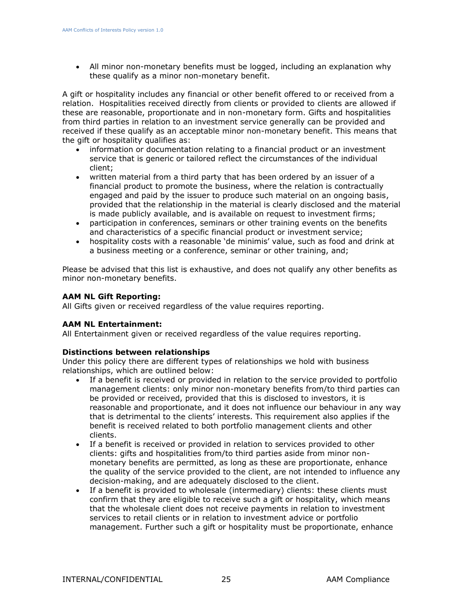• All minor non-monetary benefits must be logged, including an explanation why these qualify as a minor non-monetary benefit.

A gift or hospitality includes any financial or other benefit offered to or received from a relation. Hospitalities received directly from clients or provided to clients are allowed if these are reasonable, proportionate and in non-monetary form. Gifts and hospitalities from third parties in relation to an investment service generally can be provided and received if these qualify as an acceptable minor non-monetary benefit. This means that the gift or hospitality qualifies as:

- information or documentation relating to a financial product or an investment service that is generic or tailored reflect the circumstances of the individual client;
- written material from a third party that has been ordered by an issuer of a financial product to promote the business, where the relation is contractually engaged and paid by the issuer to produce such material on an ongoing basis, provided that the relationship in the material is clearly disclosed and the material is made publicly available, and is available on request to investment firms;
- participation in conferences, seminars or other training events on the benefits and characteristics of a specific financial product or investment service;
- hospitality costs with a reasonable 'de minimis' value, such as food and drink at a business meeting or a conference, seminar or other training, and;

Please be advised that this list is exhaustive, and does not qualify any other benefits as minor non-monetary benefits.

#### **AAM NL Gift Reporting:**

All Gifts given or received regardless of the value requires reporting.

#### **AAM NL Entertainment:**

All Entertainment given or received regardless of the value requires reporting.

#### **Distinctions between relationships**

Under this policy there are different types of relationships we hold with business relationships, which are outlined below:

- If a benefit is received or provided in relation to the service provided to portfolio management clients: only minor non-monetary benefits from/to third parties can be provided or received, provided that this is disclosed to investors, it is reasonable and proportionate, and it does not influence our behaviour in any way that is detrimental to the clients' interests. This requirement also applies if the benefit is received related to both portfolio management clients and other clients.
- If a benefit is received or provided in relation to services provided to other clients: gifts and hospitalities from/to third parties aside from minor nonmonetary benefits are permitted, as long as these are proportionate, enhance the quality of the service provided to the client, are not intended to influence any decision-making, and are adequately disclosed to the client.
- If a benefit is provided to wholesale (intermediary) clients: these clients must confirm that they are eligible to receive such a gift or hospitality, which means that the wholesale client does not receive payments in relation to investment services to retail clients or in relation to investment advice or portfolio management. Further such a gift or hospitality must be proportionate, enhance